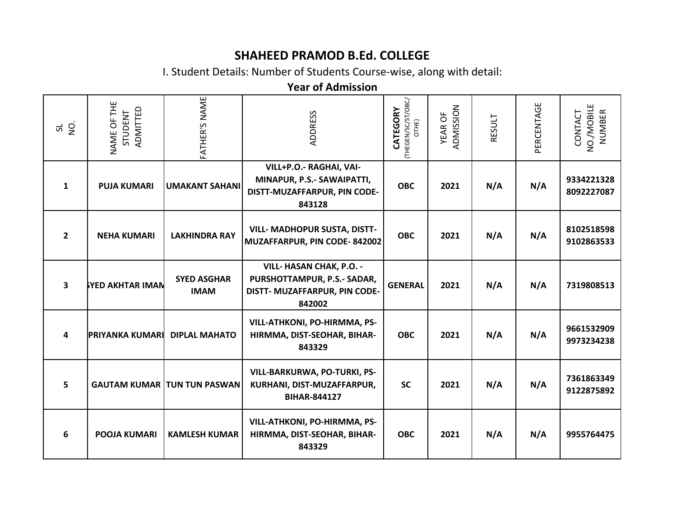## **SHAHEED PRAMOD B.Ed. COLLEGE**

I. Student Details: Number of Students Course-wise, along with detail:

## **Year of Admission**

| $\overline{5}$<br>5     | NAME OF THE<br>ADMITTED<br>STUDENT | FATHER'S NAME                      | <b>ADDRESS</b>                                                                                     | (THEGEN/SC/ST/OBC/<br>CATEGORY<br>OTHE) | ADMISSION<br><b>YEAR OF</b> | RESULT | PERCENTAGE | NO./MOBILE<br>CONTACT<br><b>NUMBER</b> |
|-------------------------|------------------------------------|------------------------------------|----------------------------------------------------------------------------------------------------|-----------------------------------------|-----------------------------|--------|------------|----------------------------------------|
| 1                       | <b>PUJA KUMARI</b>                 | <b>UMAKANT SAHANI</b>              | VILL+P.O.- RAGHAI, VAI-<br>MINAPUR, P.S.- SAWAIPATTI,<br>DISTT-MUZAFFARPUR, PIN CODE-<br>843128    | <b>OBC</b>                              | 2021                        | N/A    | N/A        | 9334221328<br>8092227087               |
| $\mathbf{2}$            | <b>NEHA KUMARI</b>                 | <b>LAKHINDRA RAY</b>               | <b>VILL- MADHOPUR SUSTA, DISTT-</b><br>MUZAFFARPUR, PIN CODE-842002                                | <b>OBC</b>                              | 2021                        | N/A    | N/A        | 8102518598<br>9102863533               |
| $\overline{\mathbf{3}}$ | <b>SYED AKHTAR IMAN</b>            | <b>SYED ASGHAR</b><br><b>IMAM</b>  | VILL- HASAN CHAK, P.O. -<br>PURSHOTTAMPUR, P.S.- SADAR,<br>DISTT- MUZAFFARPUR, PIN CODE-<br>842002 | <b>GENERAL</b>                          | 2021                        | N/A    | N/A        | 7319808513                             |
| 4                       | <b>PRIYANKA KUMARI</b>             | <b>DIPLAL MAHATO</b>               | VILL-ATHKONI, PO-HIRMMA, PS-<br>HIRMMA, DIST-SEOHAR, BIHAR-<br>843329                              | <b>OBC</b>                              | 2021                        | N/A    | N/A        | 9661532909<br>9973234238               |
| 5                       |                                    | <b>GAUTAM KUMAR TUN TUN PASWAN</b> | VILL-BARKURWA, PO-TURKI, PS-<br>KURHANI, DIST-MUZAFFARPUR,<br><b>BIHAR-844127</b>                  | <b>SC</b>                               | 2021                        | N/A    | N/A        | 7361863349<br>9122875892               |
| 6                       | <b>POOJA KUMARI</b>                | <b>KAMLESH KUMAR</b>               | VILL-ATHKONI, PO-HIRMMA, PS-<br>HIRMMA, DIST-SEOHAR, BIHAR-<br>843329                              | <b>OBC</b>                              | 2021                        | N/A    | N/A        | 9955764475                             |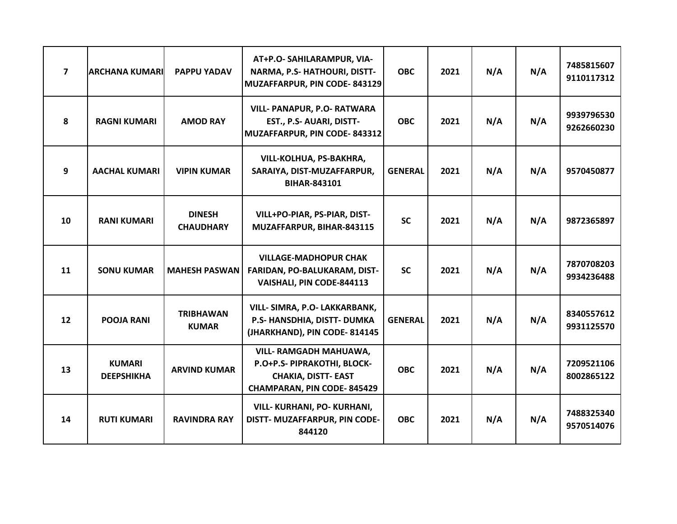| $\overline{\mathbf{z}}$ | <b>ARCHANA KUMARI</b>              | <b>PAPPU YADAV</b>                | AT+P.O- SAHILARAMPUR, VIA-<br>NARMA, P.S- HATHOURI, DISTT-<br>MUZAFFARPUR, PIN CODE-843129                                      | <b>OBC</b>     | 2021 | N/A | N/A | 7485815607<br>9110117312 |
|-------------------------|------------------------------------|-----------------------------------|---------------------------------------------------------------------------------------------------------------------------------|----------------|------|-----|-----|--------------------------|
| 8                       | <b>RAGNI KUMARI</b>                | <b>AMOD RAY</b>                   | <b>VILL- PANAPUR, P.O- RATWARA</b><br>EST., P.S- AUARI, DISTT-<br>MUZAFFARPUR, PIN CODE-843312                                  | <b>OBC</b>     | 2021 | N/A | N/A | 9939796530<br>9262660230 |
| 9                       | <b>AACHAL KUMARI</b>               | <b>VIPIN KUMAR</b>                | VILL-KOLHUA, PS-BAKHRA,<br>SARAIYA, DIST-MUZAFFARPUR,<br><b>BIHAR-843101</b>                                                    | <b>GENERAL</b> | 2021 | N/A | N/A | 9570450877               |
| 10                      | <b>RANI KUMARI</b>                 | <b>DINESH</b><br><b>CHAUDHARY</b> | VILL+PO-PIAR, PS-PIAR, DIST-<br>MUZAFFARPUR, BIHAR-843115                                                                       | <b>SC</b>      | 2021 | N/A | N/A | 9872365897               |
| 11                      | <b>SONU KUMAR</b>                  | <b>MAHESH PASWAN</b>              | <b>VILLAGE-MADHOPUR CHAK</b><br>FARIDAN, PO-BALUKARAM, DIST-<br>VAISHALI, PIN CODE-844113                                       | <b>SC</b>      | 2021 | N/A | N/A | 7870708203<br>9934236488 |
| 12                      | <b>POOJA RANI</b>                  | <b>TRIBHAWAN</b><br><b>KUMAR</b>  | VILL- SIMRA, P.O- LAKKARBANK,<br>P.S- HANSDHIA, DISTT- DUMKA<br>(JHARKHAND), PIN CODE-814145                                    | <b>GENERAL</b> | 2021 | N/A | N/A | 8340557612<br>9931125570 |
| 13                      | <b>KUMARI</b><br><b>DEEPSHIKHA</b> | <b>ARVIND KUMAR</b>               | <b>VILL- RAMGADH MAHUAWA,</b><br>P.O+P.S- PIPRAKOTHI, BLOCK-<br><b>CHAKIA, DISTT- EAST</b><br><b>CHAMPARAN, PIN CODE-845429</b> | <b>OBC</b>     | 2021 | N/A | N/A | 7209521106<br>8002865122 |
| 14                      | <b>RUTI KUMARI</b>                 | <b>RAVINDRA RAY</b>               | VILL- KURHANI, PO- KURHANI,<br>DISTT- MUZAFFARPUR, PIN CODE-<br>844120                                                          | <b>OBC</b>     | 2021 | N/A | N/A | 7488325340<br>9570514076 |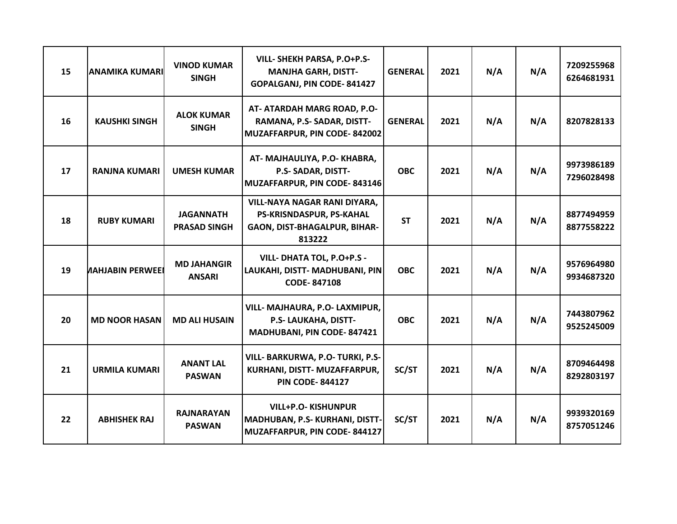| 15 | <b>ANAMIKA KUMARI</b>   | <b>VINOD KUMAR</b><br><b>SINGH</b>      | VILL- SHEKH PARSA, P.O+P.S-<br><b>MANJHA GARH, DISTT-</b><br>GOPALGANJ, PIN CODE-841427            | <b>GENERAL</b> | 2021 | N/A | N/A | 7209255968<br>6264681931 |
|----|-------------------------|-----------------------------------------|----------------------------------------------------------------------------------------------------|----------------|------|-----|-----|--------------------------|
| 16 | <b>KAUSHKI SINGH</b>    | <b>ALOK KUMAR</b><br><b>SINGH</b>       | AT- ATARDAH MARG ROAD, P.O-<br>RAMANA, P.S- SADAR, DISTT-<br>MUZAFFARPUR, PIN CODE-842002          | <b>GENERAL</b> | 2021 | N/A | N/A | 8207828133               |
| 17 | <b>RANJNA KUMARI</b>    | <b>UMESH KUMAR</b>                      | AT-MAJHAULIYA, P.O-KHABRA,<br>P.S- SADAR, DISTT-<br>MUZAFFARPUR, PIN CODE-843146                   | <b>OBC</b>     | 2021 | N/A | N/A | 9973986189<br>7296028498 |
| 18 | <b>RUBY KUMARI</b>      | <b>JAGANNATH</b><br><b>PRASAD SINGH</b> | VILL-NAYA NAGAR RANI DIYARA,<br>PS-KRISNDASPUR, PS-KAHAL<br>GAON, DIST-BHAGALPUR, BIHAR-<br>813222 | <b>ST</b>      | 2021 | N/A | N/A | 8877494959<br>8877558222 |
| 19 | <b>NAHJABIN PERWEEI</b> | <b>MD JAHANGIR</b><br><b>ANSARI</b>     | VILL- DHATA TOL, P.O+P.S -<br>LAUKAHI, DISTT- MADHUBANI, PIN<br><b>CODE-847108</b>                 | <b>OBC</b>     | 2021 | N/A | N/A | 9576964980<br>9934687320 |
| 20 | <b>MD NOOR HASAN</b>    | <b>MD ALI HUSAIN</b>                    | VILL- MAJHAURA, P.O- LAXMIPUR,<br>P.S- LAUKAHA, DISTT-<br>MADHUBANI, PIN CODE-847421               | <b>OBC</b>     | 2021 | N/A | N/A | 7443807962<br>9525245009 |
| 21 | <b>URMILA KUMARI</b>    | <b>ANANT LAL</b><br><b>PASWAN</b>       | VILL- BARKURWA, P.O- TURKI, P.S-<br>KURHANI, DISTT-MUZAFFARPUR,<br><b>PIN CODE-844127</b>          | SC/ST          | 2021 | N/A | N/A | 8709464498<br>8292803197 |
| 22 | <b>ABHISHEK RAJ</b>     | <b>RAJNARAYAN</b><br><b>PASWAN</b>      | <b>VILL+P.O- KISHUNPUR</b><br>MADHUBAN, P.S- KURHANI, DISTT-<br>MUZAFFARPUR, PIN CODE-844127       | SC/ST          | 2021 | N/A | N/A | 9939320169<br>8757051246 |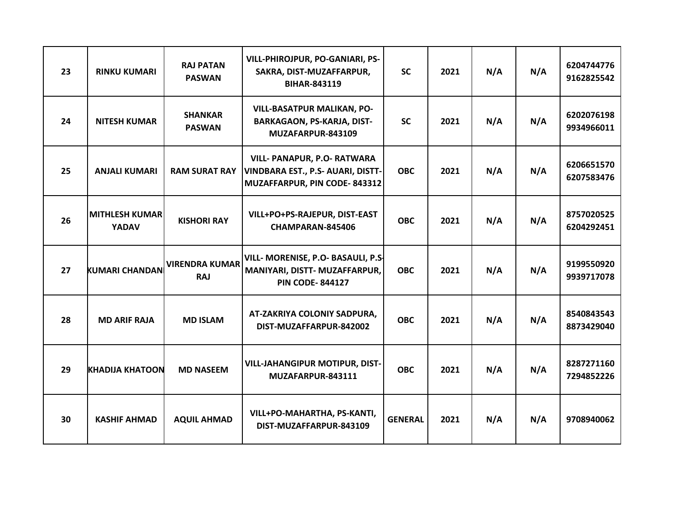| 23 | <b>RINKU KUMARI</b>                   | <b>RAJ PATAN</b><br><b>PASWAN</b>   | VILL-PHIROJPUR, PO-GANIARI, PS-<br>SAKRA, DIST-MUZAFFARPUR,<br><b>BIHAR-843119</b>               | <b>SC</b>      | 2021 | N/A | N/A | 6204744776<br>9162825542 |
|----|---------------------------------------|-------------------------------------|--------------------------------------------------------------------------------------------------|----------------|------|-----|-----|--------------------------|
| 24 | <b>NITESH KUMAR</b>                   | <b>SHANKAR</b><br><b>PASWAN</b>     | <b>VILL-BASATPUR MALIKAN, PO-</b><br><b>BARKAGAON, PS-KARJA, DIST-</b><br>MUZAFARPUR-843109      | <b>SC</b>      | 2021 | N/A | N/A | 6202076198<br>9934966011 |
| 25 | <b>ANJALI KUMARI</b>                  | <b>RAM SURAT RAY</b>                | VILL- PANAPUR, P.O- RATWARA<br>VINDBARA EST., P.S- AUARI, DISTT-<br>MUZAFFARPUR, PIN CODE-843312 | <b>OBC</b>     | 2021 | N/A | N/A | 6206651570<br>6207583476 |
| 26 | <b>MITHLESH KUMAR</b><br><b>YADAV</b> | <b>KISHORI RAY</b>                  | VILL+PO+PS-RAJEPUR, DIST-EAST<br>CHAMPARAN-845406                                                | <b>OBC</b>     | 2021 | N/A | N/A | 8757020525<br>6204292451 |
| 27 | <b>KUMARI CHANDAN</b>                 | <b>VIRENDRA KUMAR</b><br><b>RAJ</b> | VILL- MORENISE, P.O- BASAULI, P.S.<br>MANIYARI, DISTT- MUZAFFARPUR,<br><b>PIN CODE-844127</b>    | <b>OBC</b>     | 2021 | N/A | N/A | 9199550920<br>9939717078 |
| 28 | <b>MD ARIF RAJA</b>                   | <b>MD ISLAM</b>                     | AT-ZAKRIYA COLONIY SADPURA,<br>DIST-MUZAFFARPUR-842002                                           | <b>OBC</b>     | 2021 | N/A | N/A | 8540843543<br>8873429040 |
| 29 | <b>KHADIJA KHATOON</b>                | <b>MD NASEEM</b>                    | <b>VILL-JAHANGIPUR MOTIPUR, DIST-</b><br>MUZAFARPUR-843111                                       | <b>OBC</b>     | 2021 | N/A | N/A | 8287271160<br>7294852226 |
| 30 | <b>KASHIF AHMAD</b>                   | <b>AQUIL AHMAD</b>                  | VILL+PO-MAHARTHA, PS-KANTI,<br>DIST-MUZAFFARPUR-843109                                           | <b>GENERAL</b> | 2021 | N/A | N/A | 9708940062               |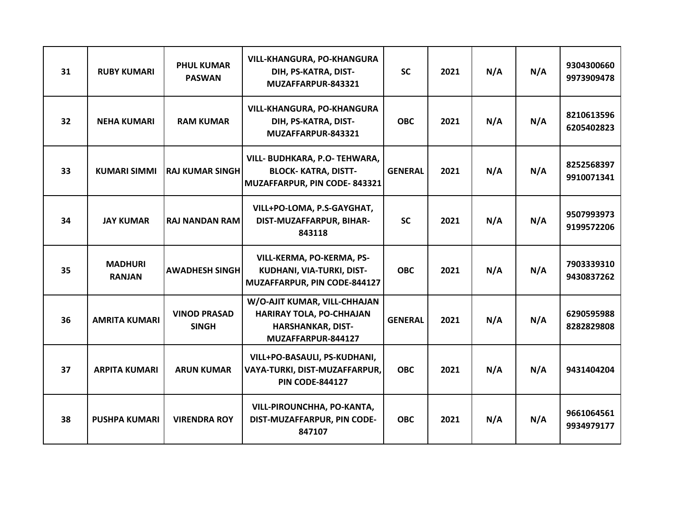| 31 | <b>RUBY KUMARI</b>              | <b>PHUL KUMAR</b><br><b>PASWAN</b>  | <b>VILL-KHANGURA, PO-KHANGURA</b><br>DIH, PS-KATRA, DIST-<br>MUZAFFARPUR-843321                                   | <b>SC</b>      | 2021 | N/A | N/A | 9304300660<br>9973909478 |
|----|---------------------------------|-------------------------------------|-------------------------------------------------------------------------------------------------------------------|----------------|------|-----|-----|--------------------------|
| 32 | <b>NEHA KUMARI</b>              | <b>RAM KUMAR</b>                    | <b>VILL-KHANGURA, PO-KHANGURA</b><br>DIH, PS-KATRA, DIST-<br>MUZAFFARPUR-843321                                   | <b>OBC</b>     | 2021 | N/A | N/A | 8210613596<br>6205402823 |
| 33 | <b>KUMARI SIMMI</b>             | <b>RAJ KUMAR SINGH</b>              | VILL- BUDHKARA, P.O- TEHWARA,<br><b>BLOCK- KATRA, DISTT-</b><br>MUZAFFARPUR, PIN CODE-843321                      | <b>GENERAL</b> | 2021 | N/A | N/A | 8252568397<br>9910071341 |
| 34 | <b>JAY KUMAR</b>                | <b>RAJ NANDAN RAM</b>               | VILL+PO-LOMA, P.S-GAYGHAT,<br>DIST-MUZAFFARPUR, BIHAR-<br>843118                                                  | <b>SC</b>      | 2021 | N/A | N/A | 9507993973<br>9199572206 |
| 35 | <b>MADHURI</b><br><b>RANJAN</b> | <b>AWADHESH SINGH</b>               | VILL-KERMA, PO-KERMA, PS-<br>KUDHANI, VIA-TURKI, DIST-<br>MUZAFFARPUR, PIN CODE-844127                            | <b>OBC</b>     | 2021 | N/A | N/A | 7903339310<br>9430837262 |
| 36 | <b>AMRITA KUMARI</b>            | <b>VINOD PRASAD</b><br><b>SINGH</b> | W/O-AJIT KUMAR, VILL-CHHAJAN<br><b>HARIRAY TOLA, PO-CHHAJAN</b><br><b>HARSHANKAR, DIST-</b><br>MUZAFFARPUR-844127 | <b>GENERAL</b> | 2021 | N/A | N/A | 6290595988<br>8282829808 |
| 37 | <b>ARPITA KUMARI</b>            | <b>ARUN KUMAR</b>                   | VILL+PO-BASAULI, PS-KUDHANI,<br>VAYA-TURKI, DIST-MUZAFFARPUR,<br><b>PIN CODE-844127</b>                           | <b>OBC</b>     | 2021 | N/A | N/A | 9431404204               |
| 38 | <b>PUSHPA KUMARI</b>            | <b>VIRENDRA ROY</b>                 | VILL-PIROUNCHHA, PO-KANTA,<br>DIST-MUZAFFARPUR, PIN CODE-<br>847107                                               | <b>OBC</b>     | 2021 | N/A | N/A | 9661064561<br>9934979177 |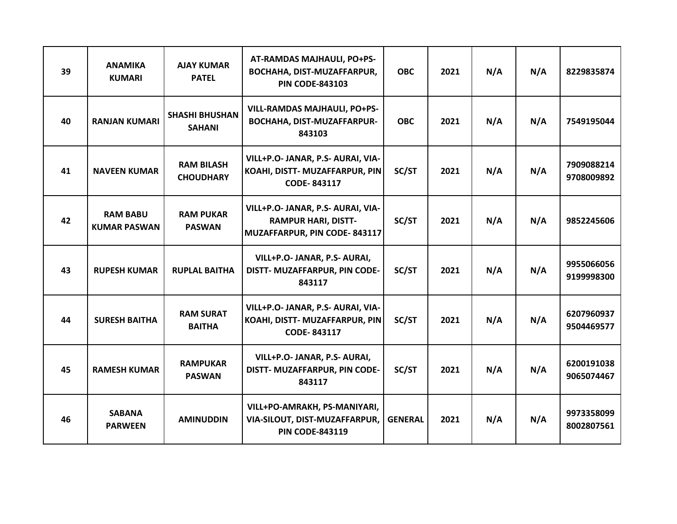| 39 | <b>ANAMIKA</b><br><b>KUMARI</b>        | <b>AJAY KUMAR</b><br><b>PATEL</b>      | AT-RAMDAS MAJHAULI, PO+PS-<br>BOCHAHA, DIST-MUZAFFARPUR,<br><b>PIN CODE-843103</b>              | <b>OBC</b>     | 2021 | N/A | N/A | 8229835874               |
|----|----------------------------------------|----------------------------------------|-------------------------------------------------------------------------------------------------|----------------|------|-----|-----|--------------------------|
| 40 | <b>RANJAN KUMARI</b>                   | <b>SHASHI BHUSHAN</b><br><b>SAHANI</b> | <b>VILL-RAMDAS MAJHAULI, PO+PS-</b><br><b>BOCHAHA, DIST-MUZAFFARPUR-</b><br>843103              | <b>OBC</b>     | 2021 | N/A | N/A | 7549195044               |
| 41 | <b>NAVEEN KUMAR</b>                    | <b>RAM BILASH</b><br><b>CHOUDHARY</b>  | VILL+P.O- JANAR, P.S- AURAI, VIA-<br>KOAHI, DISTT- MUZAFFARPUR, PIN<br>CODE-843117              | SC/ST          | 2021 | N/A | N/A | 7909088214<br>9708009892 |
| 42 | <b>RAM BABU</b><br><b>KUMAR PASWAN</b> | <b>RAM PUKAR</b><br><b>PASWAN</b>      | VILL+P.O- JANAR, P.S- AURAI, VIA-<br><b>RAMPUR HARI, DISTT-</b><br>MUZAFFARPUR, PIN CODE-843117 | SC/ST          | 2021 | N/A | N/A | 9852245606               |
| 43 | <b>RUPESH KUMAR</b>                    | <b>RUPLAL BAITHA</b>                   | VILL+P.O- JANAR, P.S- AURAI,<br>DISTT- MUZAFFARPUR, PIN CODE-<br>843117                         | SC/ST          | 2021 | N/A | N/A | 9955066056<br>9199998300 |
| 44 | <b>SURESH BAITHA</b>                   | <b>RAM SURAT</b><br><b>BAITHA</b>      | VILL+P.O- JANAR, P.S- AURAI, VIA-<br>KOAHI, DISTT- MUZAFFARPUR, PIN<br>CODE-843117              | SC/ST          | 2021 | N/A | N/A | 6207960937<br>9504469577 |
| 45 | <b>RAMESH KUMAR</b>                    | <b>RAMPUKAR</b><br><b>PASWAN</b>       | VILL+P.O- JANAR, P.S- AURAI,<br>DISTT- MUZAFFARPUR, PIN CODE-<br>843117                         | SC/ST          | 2021 | N/A | N/A | 6200191038<br>9065074467 |
| 46 | <b>SABANA</b><br><b>PARWEEN</b>        | <b>AMINUDDIN</b>                       | VILL+PO-AMRAKH, PS-MANIYARI,<br>VIA-SILOUT, DIST-MUZAFFARPUR,<br><b>PIN CODE-843119</b>         | <b>GENERAL</b> | 2021 | N/A | N/A | 9973358099<br>8002807561 |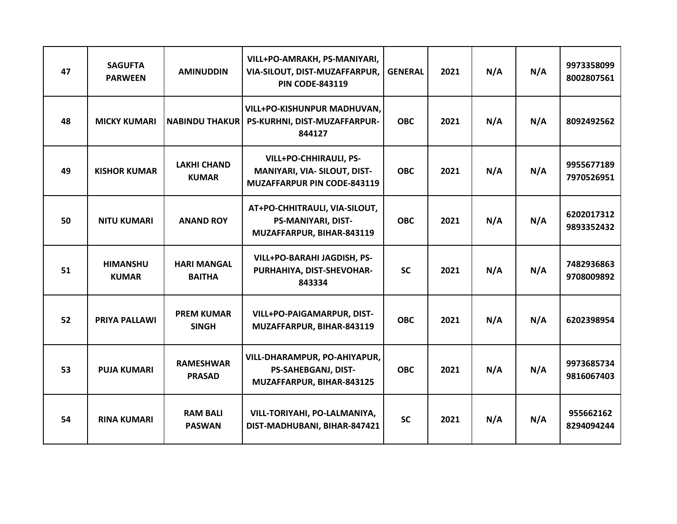| 47 | <b>SAGUFTA</b><br><b>PARWEEN</b> | <b>AMINUDDIN</b>                    | VILL+PO-AMRAKH, PS-MANIYARI,<br>VIA-SILOUT, DIST-MUZAFFARPUR,<br><b>PIN CODE-843119</b>             | <b>GENERAL</b> | 2021 | N/A | N/A | 9973358099<br>8002807561 |
|----|----------------------------------|-------------------------------------|-----------------------------------------------------------------------------------------------------|----------------|------|-----|-----|--------------------------|
| 48 | <b>MICKY KUMARI</b>              | <b>NABINDU THAKUR</b>               | VILL+PO-KISHUNPUR MADHUVAN,<br>PS-KURHNI, DIST-MUZAFFARPUR-<br>844127                               | <b>OBC</b>     | 2021 | N/A | N/A | 8092492562               |
| 49 | <b>KISHOR KUMAR</b>              | <b>LAKHI CHAND</b><br><b>KUMAR</b>  | <b>VILL+PO-CHHIRAULI, PS-</b><br>MANIYARI, VIA- SILOUT, DIST-<br><b>MUZAFFARPUR PIN CODE-843119</b> | <b>OBC</b>     | 2021 | N/A | N/A | 9955677189<br>7970526951 |
| 50 | <b>NITU KUMARI</b>               | <b>ANAND ROY</b>                    | AT+PO-CHHITRAULI, VIA-SILOUT,<br><b>PS-MANIYARI, DIST-</b><br>MUZAFFARPUR, BIHAR-843119             | <b>OBC</b>     | 2021 | N/A | N/A | 6202017312<br>9893352432 |
| 51 | <b>HIMANSHU</b><br><b>KUMAR</b>  | <b>HARI MANGAL</b><br><b>BAITHA</b> | VILL+PO-BARAHI JAGDISH, PS-<br>PURHAHIYA, DIST-SHEVOHAR-<br>843334                                  | <b>SC</b>      | 2021 | N/A | N/A | 7482936863<br>9708009892 |
| 52 | PRIYA PALLAWI                    | <b>PREM KUMAR</b><br><b>SINGH</b>   | <b>VILL+PO-PAIGAMARPUR, DIST-</b><br>MUZAFFARPUR, BIHAR-843119                                      | <b>OBC</b>     | 2021 | N/A | N/A | 6202398954               |
| 53 | <b>PUJA KUMARI</b>               | <b>RAMESHWAR</b><br><b>PRASAD</b>   | VILL-DHARAMPUR, PO-AHIYAPUR,<br><b>PS-SAHEBGANJ, DIST-</b><br>MUZAFFARPUR, BIHAR-843125             | <b>OBC</b>     | 2021 | N/A | N/A | 9973685734<br>9816067403 |
| 54 | <b>RINA KUMARI</b>               | <b>RAM BALI</b><br><b>PASWAN</b>    | VILL-TORIYAHI, PO-LALMANIYA,<br>DIST-MADHUBANI, BIHAR-847421                                        | <b>SC</b>      | 2021 | N/A | N/A | 955662162<br>8294094244  |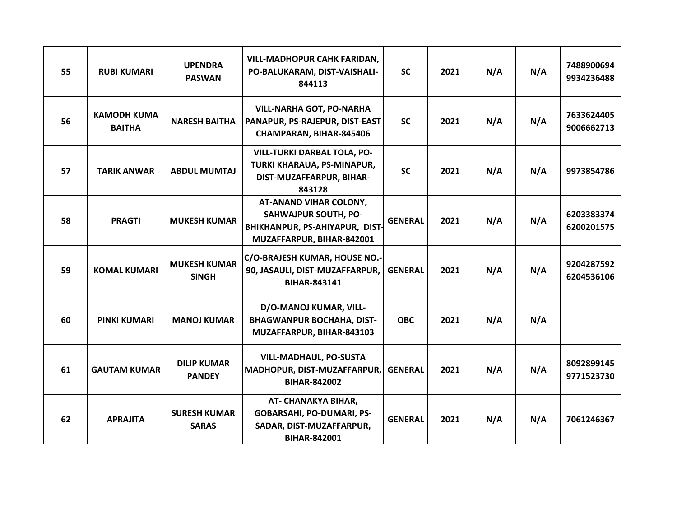| 55 | <b>RUBI KUMARI</b>                  | <b>UPENDRA</b><br><b>PASWAN</b>     | <b>VILL-MADHOPUR CAHK FARIDAN,</b><br>PO-BALUKARAM, DIST-VAISHALI-<br>844113                                         | <b>SC</b>      | 2021 | N/A | N/A | 7488900694<br>9934236488 |
|----|-------------------------------------|-------------------------------------|----------------------------------------------------------------------------------------------------------------------|----------------|------|-----|-----|--------------------------|
| 56 | <b>KAMODH KUMA</b><br><b>BAITHA</b> | <b>NARESH BAITHA</b>                | <b>VILL-NARHA GOT, PO-NARHA</b><br>PANAPUR, PS-RAJEPUR, DIST-EAST<br>CHAMPARAN, BIHAR-845406                         | <b>SC</b>      | 2021 | N/A | N/A | 7633624405<br>9006662713 |
| 57 | <b>TARIK ANWAR</b>                  | <b>ABDUL MUMTAJ</b>                 | <b>VILL-TURKI DARBAL TOLA, PO-</b><br>TURKI KHARAUA, PS-MINAPUR,<br>DIST-MUZAFFARPUR, BIHAR-<br>843128               | <b>SC</b>      | 2021 | N/A | N/A | 9973854786               |
| 58 | <b>PRAGTI</b>                       | <b>MUKESH KUMAR</b>                 | AT-ANAND VIHAR COLONY,<br><b>SAHWAJPUR SOUTH, PO-</b><br>BHIKHANPUR, PS-AHIYAPUR, DIST-<br>MUZAFFARPUR, BIHAR-842001 | <b>GENERAL</b> | 2021 | N/A | N/A | 6203383374<br>6200201575 |
| 59 | <b>KOMAL KUMARI</b>                 | <b>MUKESH KUMAR</b><br><b>SINGH</b> | C/O-BRAJESH KUMAR, HOUSE NO.-<br>90, JASAULI, DIST-MUZAFFARPUR,<br><b>BIHAR-843141</b>                               | <b>GENERAL</b> | 2021 | N/A | N/A | 9204287592<br>6204536106 |
| 60 | <b>PINKI KUMARI</b>                 | <b>MANOJ KUMAR</b>                  | D/O-MANOJ KUMAR, VILL-<br><b>BHAGWANPUR BOCHAHA, DIST-</b><br>MUZAFFARPUR, BIHAR-843103                              | <b>OBC</b>     | 2021 | N/A | N/A |                          |
| 61 | <b>GAUTAM KUMAR</b>                 | <b>DILIP KUMAR</b><br><b>PANDEY</b> | <b>VILL-MADHAUL, PO-SUSTA</b><br>MADHOPUR, DIST-MUZAFFARPUR,<br><b>BIHAR-842002</b>                                  | <b>GENERAL</b> | 2021 | N/A | N/A | 8092899145<br>9771523730 |
| 62 | <b>APRAJITA</b>                     | <b>SURESH KUMAR</b><br><b>SARAS</b> | AT- CHANAKYA BIHAR,<br><b>GOBARSAHI, PO-DUMARI, PS-</b><br>SADAR, DIST-MUZAFFARPUR,<br>BIHAR-842001                  | <b>GENERAL</b> | 2021 | N/A | N/A | 7061246367               |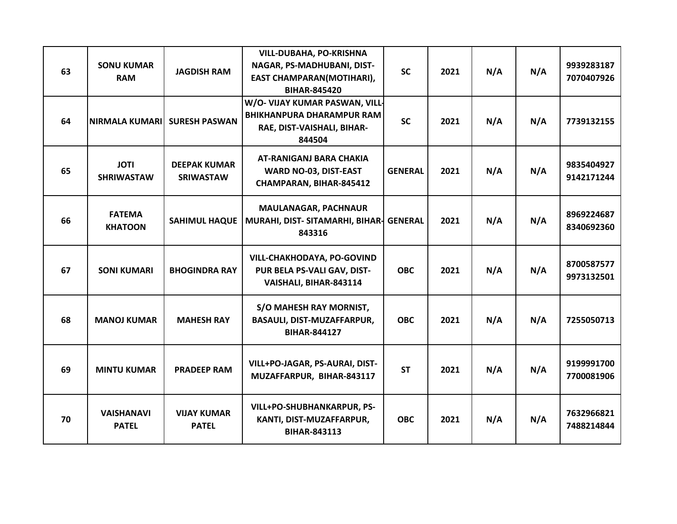| 63 | <b>SONU KUMAR</b><br><b>RAM</b>   | <b>JAGDISH RAM</b>                      | <b>VILL-DUBAHA, PO-KRISHNA</b><br>NAGAR, PS-MADHUBANI, DIST-<br>EAST CHAMPARAN(MOTIHARI),<br><b>BIHAR-845420</b> | <b>SC</b>      | 2021 | N/A | N/A | 9939283187<br>7070407926 |
|----|-----------------------------------|-----------------------------------------|------------------------------------------------------------------------------------------------------------------|----------------|------|-----|-----|--------------------------|
| 64 | <b>NIRMALA KUMARIL</b>            | <b>SURESH PASWAN</b>                    | W/O- VIJAY KUMAR PASWAN, VILL-<br><b>BHIKHANPURA DHARAMPUR RAM</b><br>RAE, DIST-VAISHALI, BIHAR-<br>844504       | <b>SC</b>      | 2021 | N/A | N/A | 7739132155               |
| 65 | <b>JOTI</b><br><b>SHRIWASTAW</b>  | <b>DEEPAK KUMAR</b><br><b>SRIWASTAW</b> | <b>AT-RANIGANJ BARA CHAKIA</b><br>WARD NO-03, DIST-EAST<br>CHAMPARAN, BIHAR-845412                               | <b>GENERAL</b> | 2021 | N/A | N/A | 9835404927<br>9142171244 |
| 66 | <b>FATEMA</b><br><b>KHATOON</b>   | <b>SAHIMUL HAQUE</b>                    | <b>MAULANAGAR, PACHNAUR</b><br>MURAHI, DIST- SITAMARHI, BIHAR- GENERAL<br>843316                                 |                | 2021 | N/A | N/A | 8969224687<br>8340692360 |
| 67 | <b>SONI KUMARI</b>                | <b>BHOGINDRA RAY</b>                    | VILL-CHAKHODAYA, PO-GOVIND<br>PUR BELA PS-VALI GAV, DIST-<br>VAISHALI, BIHAR-843114                              | <b>OBC</b>     | 2021 | N/A | N/A | 8700587577<br>9973132501 |
| 68 | <b>MANOJ KUMAR</b>                | <b>MAHESH RAY</b>                       | S/O MAHESH RAY MORNIST,<br>BASAULI, DIST-MUZAFFARPUR,<br><b>BIHAR-844127</b>                                     | <b>OBC</b>     | 2021 | N/A | N/A | 7255050713               |
| 69 | <b>MINTU KUMAR</b>                | <b>PRADEEP RAM</b>                      | VILL+PO-JAGAR, PS-AURAI, DIST-<br>MUZAFFARPUR, BIHAR-843117                                                      | <b>ST</b>      | 2021 | N/A | N/A | 9199991700<br>7700081906 |
| 70 | <b>VAISHANAVI</b><br><b>PATEL</b> | <b>VIJAY KUMAR</b><br><b>PATEL</b>      | <b>VILL+PO-SHUBHANKARPUR, PS-</b><br>KANTI, DIST-MUZAFFARPUR,<br><b>BIHAR-843113</b>                             | <b>OBC</b>     | 2021 | N/A | N/A | 7632966821<br>7488214844 |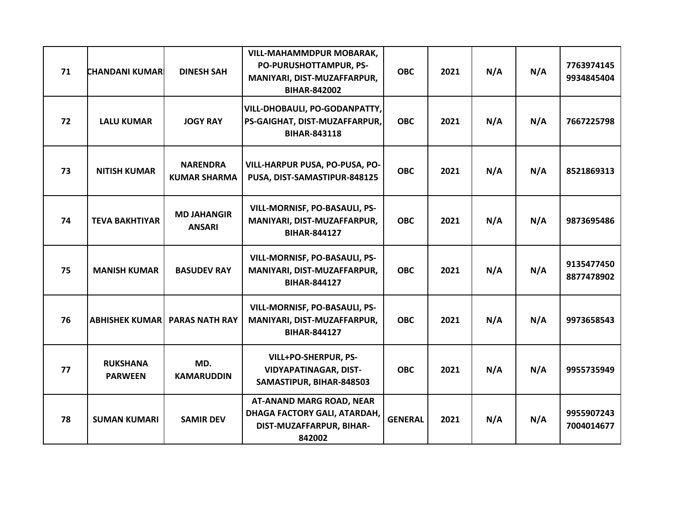| 71 | <b>CHANDANI KUMAR</b>             | <b>DINESH SAH</b>                      | <b>VILL-MAHAMMDPUR MOBARAK,</b><br>PO-PURUSHOTTAMPUR, PS-<br>MANIYARI, DIST-MUZAFFARPUR,<br><b>BIHAR-842002</b> | <b>OBC</b>     | 2021 | N/A | N/A | 7763974145<br>9934845404 |
|----|-----------------------------------|----------------------------------------|-----------------------------------------------------------------------------------------------------------------|----------------|------|-----|-----|--------------------------|
| 72 | <b>LALU KUMAR</b>                 | <b>JOGY RAY</b>                        | VILL-DHOBAULI, PO-GODANPATTY,<br>PS-GAIGHAT, DIST-MUZAFFARPUR,<br><b>BIHAR-843118</b>                           | <b>OBC</b>     | 2021 | N/A | N/A | 7667225798               |
| 73 | <b>NITISH KUMAR</b>               | <b>NARENDRA</b><br><b>KUMAR SHARMA</b> | VILL-HARPUR PUSA, PO-PUSA, PO-<br>PUSA, DIST-SAMASTIPUR-848125                                                  | <b>OBC</b>     | 2021 | N/A | N/A | 8521869313               |
| 74 | <b>TEVA BAKHTIYAR</b>             | <b>MD JAHANGIR</b><br><b>ANSARI</b>    | VILL-MORNISF, PO-BASAULI, PS-<br>MANIYARI, DIST-MUZAFFARPUR,<br><b>BIHAR-844127</b>                             | <b>OBC</b>     | 2021 | N/A | N/A | 9873695486               |
| 75 | <b>MANISH KUMAR</b>               | <b>BASUDEV RAY</b>                     | VILL-MORNISF, PO-BASAULI, PS-<br>MANIYARI, DIST-MUZAFFARPUR,<br><b>BIHAR-844127</b>                             | <b>OBC</b>     | 2021 | N/A | N/A | 9135477450<br>8877478902 |
| 76 |                                   | <b>ABHISHEK KUMAR   PARAS NATH RAY</b> | VILL-MORNISF, PO-BASAULI, PS-<br>MANIYARI, DIST-MUZAFFARPUR,<br><b>BIHAR-844127</b>                             | <b>OBC</b>     | 2021 | N/A | N/A | 9973658543               |
| 77 | <b>RUKSHANA</b><br><b>PARWEEN</b> | MD.<br><b>KAMARUDDIN</b>               | VILL+PO-SHERPUR, PS-<br><b>VIDYAPATINAGAR, DIST-</b><br>SAMASTIPUR, BIHAR-848503                                | <b>OBC</b>     | 2021 | N/A | N/A | 9955735949               |
| 78 | <b>SUMAN KUMARI</b>               | <b>SAMIR DEV</b>                       | <b>AT-ANAND MARG ROAD, NEAR</b><br>DHAGA FACTORY GALI, ATARDAH,<br>DIST-MUZAFFARPUR, BIHAR-<br>842002           | <b>GENERAL</b> | 2021 | N/A | N/A | 9955907243<br>7004014677 |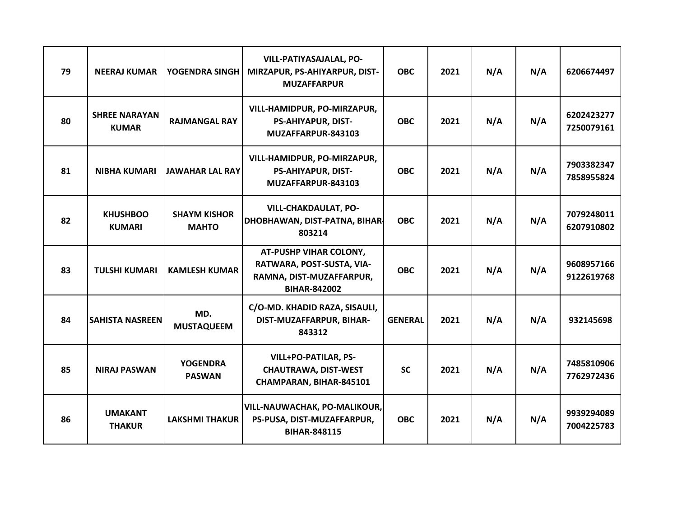| 79 | <b>NEERAJ KUMAR</b>                  | YOGENDRA SINGH                      | VILL-PATIYASAJALAL, PO-<br>MIRZAPUR, PS-AHIYARPUR, DIST-<br><b>MUZAFFARPUR</b>                                | <b>OBC</b>     | 2021 | N/A | N/A | 6206674497               |
|----|--------------------------------------|-------------------------------------|---------------------------------------------------------------------------------------------------------------|----------------|------|-----|-----|--------------------------|
| 80 | <b>SHREE NARAYAN</b><br><b>KUMAR</b> | <b>RAJMANGAL RAY</b>                | VILL-HAMIDPUR, PO-MIRZAPUR,<br><b>PS-AHIYAPUR, DIST-</b><br>MUZAFFARPUR-843103                                | <b>OBC</b>     | 2021 | N/A | N/A | 6202423277<br>7250079161 |
| 81 | <b>NIBHA KUMARI</b>                  | <b>JAWAHAR LAL RAY</b>              | <b>VILL-HAMIDPUR, PO-MIRZAPUR,</b><br><b>PS-AHIYAPUR, DIST-</b><br>MUZAFFARPUR-843103                         | <b>OBC</b>     | 2021 | N/A | N/A | 7903382347<br>7858955824 |
| 82 | <b>KHUSHBOO</b><br><b>KUMARI</b>     | <b>SHAYM KISHOR</b><br><b>MAHTO</b> | <b>VILL-CHAKDAULAT, PO-</b><br>DHOBHAWAN, DIST-PATNA, BIHAR<br>803214                                         | <b>OBC</b>     | 2021 | N/A | N/A | 7079248011<br>6207910802 |
| 83 | <b>TULSHI KUMARI</b>                 | <b>KAMLESH KUMAR</b>                | <b>AT-PUSHP VIHAR COLONY,</b><br>RATWARA, POST-SUSTA, VIA-<br>RAMNA, DIST-MUZAFFARPUR,<br><b>BIHAR-842002</b> | <b>OBC</b>     | 2021 | N/A | N/A | 9608957166<br>9122619768 |
| 84 | <b>SAHISTA NASREEN</b>               | MD.<br><b>MUSTAQUEEM</b>            | C/O-MD. KHADID RAZA, SISAULI,<br>DIST-MUZAFFARPUR, BIHAR-<br>843312                                           | <b>GENERAL</b> | 2021 | N/A | N/A | 932145698                |
| 85 | <b>NIRAJ PASWAN</b>                  | <b>YOGENDRA</b><br><b>PASWAN</b>    | <b>VILL+PO-PATILAR, PS-</b><br><b>CHAUTRAWA, DIST-WEST</b><br>CHAMPARAN, BIHAR-845101                         | <b>SC</b>      | 2021 | N/A | N/A | 7485810906<br>7762972436 |
| 86 | <b>UMAKANT</b><br><b>THAKUR</b>      | <b>LAKSHMI THAKUR</b>               | VILL-NAUWACHAK, PO-MALIKOUR,<br>PS-PUSA, DIST-MUZAFFARPUR,<br><b>BIHAR-848115</b>                             | <b>OBC</b>     | 2021 | N/A | N/A | 9939294089<br>7004225783 |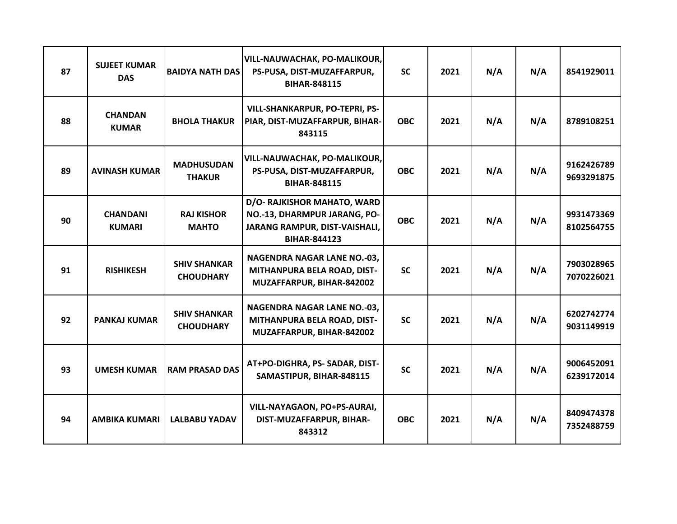| 87 | <b>SUJEET KUMAR</b><br><b>DAS</b> | <b>BAIDYA NATH DAS</b>                  | VILL-NAUWACHAK, PO-MALIKOUR,<br>PS-PUSA, DIST-MUZAFFARPUR,<br><b>BIHAR-848115</b>                                   | <b>SC</b>  | 2021 | N/A | N/A | 8541929011               |
|----|-----------------------------------|-----------------------------------------|---------------------------------------------------------------------------------------------------------------------|------------|------|-----|-----|--------------------------|
| 88 | <b>CHANDAN</b><br><b>KUMAR</b>    | <b>BHOLA THAKUR</b>                     | VILL-SHANKARPUR, PO-TEPRI, PS-<br>PIAR, DIST-MUZAFFARPUR, BIHAR-<br>843115                                          | <b>OBC</b> | 2021 | N/A | N/A | 8789108251               |
| 89 | <b>AVINASH KUMAR</b>              | <b>MADHUSUDAN</b><br><b>THAKUR</b>      | VILL-NAUWACHAK, PO-MALIKOUR,<br>PS-PUSA, DIST-MUZAFFARPUR,<br><b>BIHAR-848115</b>                                   | <b>OBC</b> | 2021 | N/A | N/A | 9162426789<br>9693291875 |
| 90 | <b>CHANDANI</b><br><b>KUMARI</b>  | <b>RAJ KISHOR</b><br><b>MAHTO</b>       | D/O- RAJKISHOR MAHATO, WARD<br>NO.-13, DHARMPUR JARANG, PO-<br>JARANG RAMPUR, DIST-VAISHALI,<br><b>BIHAR-844123</b> | <b>OBC</b> | 2021 | N/A | N/A | 9931473369<br>8102564755 |
| 91 | <b>RISHIKESH</b>                  | <b>SHIV SHANKAR</b><br><b>CHOUDHARY</b> | <b>NAGENDRA NAGAR LANE NO.-03,</b><br>MITHANPURA BELA ROAD, DIST-<br>MUZAFFARPUR, BIHAR-842002                      | <b>SC</b>  | 2021 | N/A | N/A | 7903028965<br>7070226021 |
| 92 | <b>PANKAJ KUMAR</b>               | <b>SHIV SHANKAR</b><br><b>CHOUDHARY</b> | <b>NAGENDRA NAGAR LANE NO.-03,</b><br>MITHANPURA BELA ROAD, DIST-<br>MUZAFFARPUR, BIHAR-842002                      | <b>SC</b>  | 2021 | N/A | N/A | 6202742774<br>9031149919 |
| 93 | <b>UMESH KUMAR</b>                | <b>RAM PRASAD DAS</b>                   | AT+PO-DIGHRA, PS- SADAR, DIST-<br>SAMASTIPUR, BIHAR-848115                                                          | <b>SC</b>  | 2021 | N/A | N/A | 9006452091<br>6239172014 |
| 94 | <b>AMBIKA KUMARI</b>              | <b>LALBABU YADAV</b>                    | VILL-NAYAGAON, PO+PS-AURAI,<br>DIST-MUZAFFARPUR, BIHAR-<br>843312                                                   | <b>OBC</b> | 2021 | N/A | N/A | 8409474378<br>7352488759 |